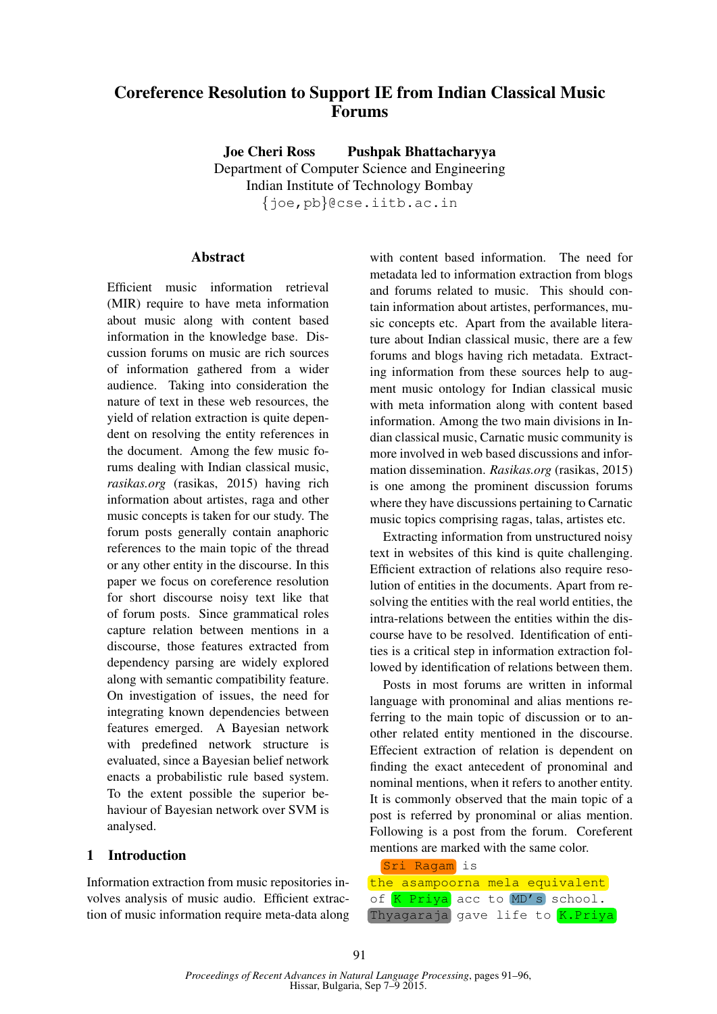# Coreference Resolution to Support IE from Indian Classical Music Forums

Joe Cheri Ross Pushpak Bhattacharyya Department of Computer Science and Engineering Indian Institute of Technology Bombay {joe,pb}@cse.iitb.ac.in

## Abstract

Efficient music information retrieval (MIR) require to have meta information about music along with content based information in the knowledge base. Discussion forums on music are rich sources of information gathered from a wider audience. Taking into consideration the nature of text in these web resources, the yield of relation extraction is quite dependent on resolving the entity references in the document. Among the few music forums dealing with Indian classical music, *rasikas.org* (rasikas, 2015) having rich information about artistes, raga and other music concepts is taken for our study. The forum posts generally contain anaphoric references to the main topic of the thread or any other entity in the discourse. In this paper we focus on coreference resolution for short discourse noisy text like that of forum posts. Since grammatical roles capture relation between mentions in a discourse, those features extracted from dependency parsing are widely explored along with semantic compatibility feature. On investigation of issues, the need for integrating known dependencies between features emerged. A Bayesian network with predefined network structure is evaluated, since a Bayesian belief network enacts a probabilistic rule based system. To the extent possible the superior behaviour of Bayesian network over SVM is analysed.

## 1 Introduction

Information extraction from music repositories involves analysis of music audio. Efficient extraction of music information require meta-data along

with content based information. The need for metadata led to information extraction from blogs and forums related to music. This should contain information about artistes, performances, music concepts etc. Apart from the available literature about Indian classical music, there are a few forums and blogs having rich metadata. Extracting information from these sources help to augment music ontology for Indian classical music with meta information along with content based information. Among the two main divisions in Indian classical music, Carnatic music community is more involved in web based discussions and information dissemination. *Rasikas.org* (rasikas, 2015) is one among the prominent discussion forums where they have discussions pertaining to Carnatic music topics comprising ragas, talas, artistes etc.

Extracting information from unstructured noisy text in websites of this kind is quite challenging. Efficient extraction of relations also require resolution of entities in the documents. Apart from resolving the entities with the real world entities, the intra-relations between the entities within the discourse have to be resolved. Identification of entities is a critical step in information extraction followed by identification of relations between them.

Posts in most forums are written in informal language with pronominal and alias mentions referring to the main topic of discussion or to another related entity mentioned in the discourse. Effecient extraction of relation is dependent on finding the exact antecedent of pronominal and nominal mentions, when it refers to another entity. It is commonly observed that the main topic of a post is referred by pronominal or alias mention. Following is a post from the forum. Coreferent mentions are marked with the same color.

| Sri | Ragam |
|-----|-------|
|     |       |

| the asampoorna mela equivalent |                                 |  |  |  |  |
|--------------------------------|---------------------------------|--|--|--|--|
|                                | of K Priya acc to MD's school.  |  |  |  |  |
|                                | Thyagaraja gave life to K.Priya |  |  |  |  |

is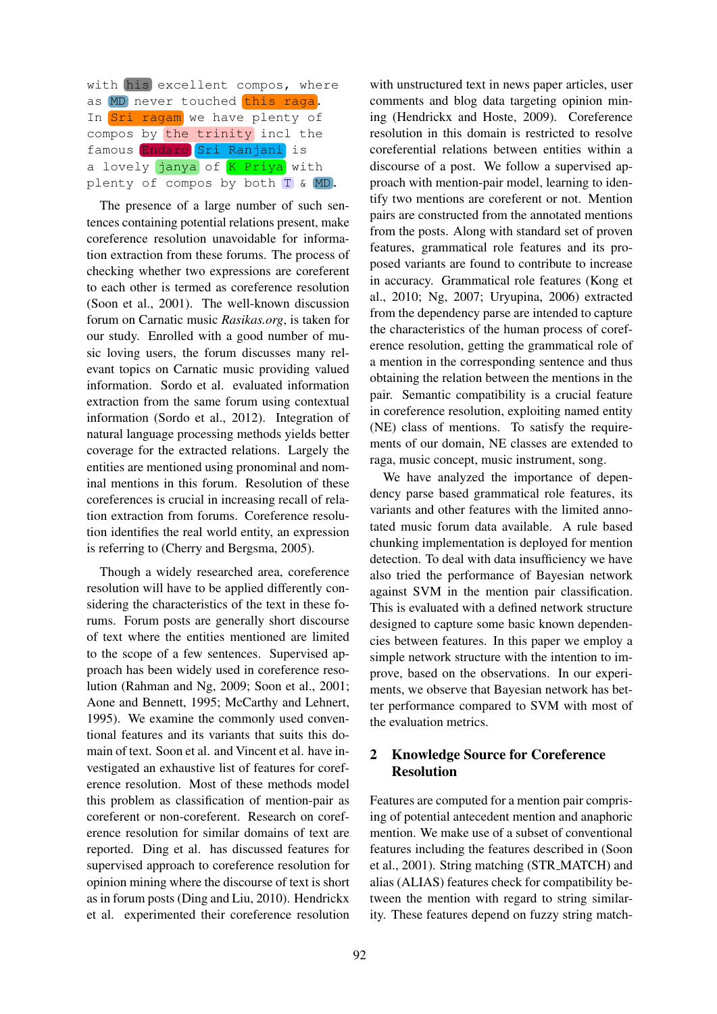| with his excellent compos, where |  |  |  |  |  |  |
|----------------------------------|--|--|--|--|--|--|
| as MD never touched this raga.   |  |  |  |  |  |  |
| In Sri ragam we have plenty of   |  |  |  |  |  |  |
| compos by the trinity incl the   |  |  |  |  |  |  |
| famous Endaro Sri Ranjani is     |  |  |  |  |  |  |
| a lovely janya of K Priya with   |  |  |  |  |  |  |
| plenty of compos by both T & MD. |  |  |  |  |  |  |

The presence of a large number of such sentences containing potential relations present, make coreference resolution unavoidable for information extraction from these forums. The process of checking whether two expressions are coreferent to each other is termed as coreference resolution (Soon et al., 2001). The well-known discussion forum on Carnatic music *Rasikas.org*, is taken for our study. Enrolled with a good number of music loving users, the forum discusses many relevant topics on Carnatic music providing valued information. Sordo et al. evaluated information extraction from the same forum using contextual information (Sordo et al., 2012). Integration of natural language processing methods yields better coverage for the extracted relations. Largely the entities are mentioned using pronominal and nominal mentions in this forum. Resolution of these coreferences is crucial in increasing recall of relation extraction from forums. Coreference resolution identifies the real world entity, an expression is referring to (Cherry and Bergsma, 2005).

Though a widely researched area, coreference resolution will have to be applied differently considering the characteristics of the text in these forums. Forum posts are generally short discourse of text where the entities mentioned are limited to the scope of a few sentences. Supervised approach has been widely used in coreference resolution (Rahman and Ng, 2009; Soon et al., 2001; Aone and Bennett, 1995; McCarthy and Lehnert, 1995). We examine the commonly used conventional features and its variants that suits this domain of text. Soon et al. and Vincent et al. have investigated an exhaustive list of features for coreference resolution. Most of these methods model this problem as classification of mention-pair as coreferent or non-coreferent. Research on coreference resolution for similar domains of text are reported. Ding et al. has discussed features for supervised approach to coreference resolution for opinion mining where the discourse of text is short as in forum posts (Ding and Liu, 2010). Hendrickx et al. experimented their coreference resolution

with unstructured text in news paper articles, user comments and blog data targeting opinion mining (Hendrickx and Hoste, 2009). Coreference resolution in this domain is restricted to resolve coreferential relations between entities within a discourse of a post. We follow a supervised approach with mention-pair model, learning to identify two mentions are coreferent or not. Mention pairs are constructed from the annotated mentions from the posts. Along with standard set of proven features, grammatical role features and its proposed variants are found to contribute to increase in accuracy. Grammatical role features (Kong et al., 2010; Ng, 2007; Uryupina, 2006) extracted from the dependency parse are intended to capture the characteristics of the human process of coreference resolution, getting the grammatical role of a mention in the corresponding sentence and thus obtaining the relation between the mentions in the pair. Semantic compatibility is a crucial feature in coreference resolution, exploiting named entity (NE) class of mentions. To satisfy the requirements of our domain, NE classes are extended to raga, music concept, music instrument, song.

We have analyzed the importance of dependency parse based grammatical role features, its variants and other features with the limited annotated music forum data available. A rule based chunking implementation is deployed for mention detection. To deal with data insufficiency we have also tried the performance of Bayesian network against SVM in the mention pair classification. This is evaluated with a defined network structure designed to capture some basic known dependencies between features. In this paper we employ a simple network structure with the intention to improve, based on the observations. In our experiments, we observe that Bayesian network has better performance compared to SVM with most of the evaluation metrics.

## 2 Knowledge Source for Coreference Resolution

Features are computed for a mention pair comprising of potential antecedent mention and anaphoric mention. We make use of a subset of conventional features including the features described in (Soon et al., 2001). String matching (STR MATCH) and alias (ALIAS) features check for compatibility between the mention with regard to string similarity. These features depend on fuzzy string match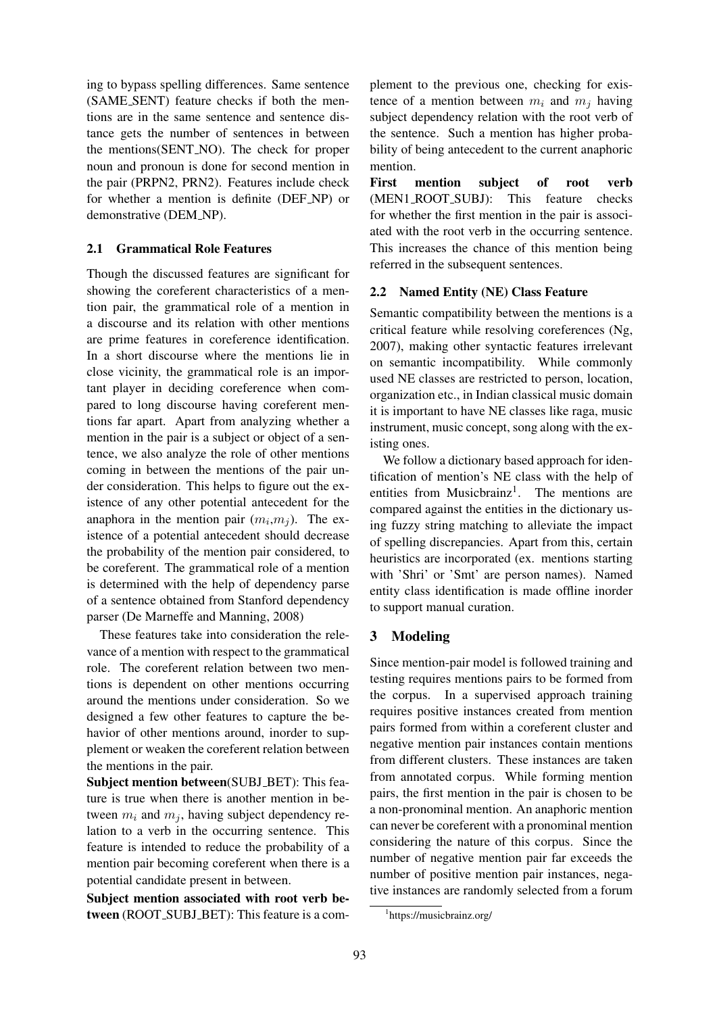ing to bypass spelling differences. Same sentence (SAME SENT) feature checks if both the mentions are in the same sentence and sentence distance gets the number of sentences in between the mentions(SENT NO). The check for proper noun and pronoun is done for second mention in the pair (PRPN2, PRN2). Features include check for whether a mention is definite (DEF NP) or demonstrative (DEM\_NP).

## 2.1 Grammatical Role Features

Though the discussed features are significant for showing the coreferent characteristics of a mention pair, the grammatical role of a mention in a discourse and its relation with other mentions are prime features in coreference identification. In a short discourse where the mentions lie in close vicinity, the grammatical role is an important player in deciding coreference when compared to long discourse having coreferent mentions far apart. Apart from analyzing whether a mention in the pair is a subject or object of a sentence, we also analyze the role of other mentions coming in between the mentions of the pair under consideration. This helps to figure out the existence of any other potential antecedent for the anaphora in the mention pair  $(m_i, m_j)$ . The existence of a potential antecedent should decrease the probability of the mention pair considered, to be coreferent. The grammatical role of a mention is determined with the help of dependency parse of a sentence obtained from Stanford dependency parser (De Marneffe and Manning, 2008)

These features take into consideration the relevance of a mention with respect to the grammatical role. The coreferent relation between two mentions is dependent on other mentions occurring around the mentions under consideration. So we designed a few other features to capture the behavior of other mentions around, inorder to supplement or weaken the coreferent relation between the mentions in the pair.

Subject mention between(SUBJ\_BET): This feature is true when there is another mention in between  $m_i$  and  $m_j$ , having subject dependency relation to a verb in the occurring sentence. This feature is intended to reduce the probability of a mention pair becoming coreferent when there is a potential candidate present in between.

Subject mention associated with root verb between (ROOT\_SUBJ\_BET): This feature is a com-

plement to the previous one, checking for existence of a mention between  $m_i$  and  $m_j$  having subject dependency relation with the root verb of the sentence. Such a mention has higher probability of being antecedent to the current anaphoric mention.

First mention subject of root verb (MEN1 ROOT SUBJ): This feature checks for whether the first mention in the pair is associated with the root verb in the occurring sentence. This increases the chance of this mention being referred in the subsequent sentences.

## 2.2 Named Entity (NE) Class Feature

Semantic compatibility between the mentions is a critical feature while resolving coreferences (Ng, 2007), making other syntactic features irrelevant on semantic incompatibility. While commonly used NE classes are restricted to person, location, organization etc., in Indian classical music domain it is important to have NE classes like raga, music instrument, music concept, song along with the existing ones.

We follow a dictionary based approach for identification of mention's NE class with the help of entities from Musicbrainz<sup>1</sup>. The mentions are compared against the entities in the dictionary using fuzzy string matching to alleviate the impact of spelling discrepancies. Apart from this, certain heuristics are incorporated (ex. mentions starting with 'Shri' or 'Smt' are person names). Named entity class identification is made offline inorder to support manual curation.

## 3 Modeling

Since mention-pair model is followed training and testing requires mentions pairs to be formed from the corpus. In a supervised approach training requires positive instances created from mention pairs formed from within a coreferent cluster and negative mention pair instances contain mentions from different clusters. These instances are taken from annotated corpus. While forming mention pairs, the first mention in the pair is chosen to be a non-pronominal mention. An anaphoric mention can never be coreferent with a pronominal mention considering the nature of this corpus. Since the number of negative mention pair far exceeds the number of positive mention pair instances, negative instances are randomly selected from a forum

<sup>1</sup> https://musicbrainz.org/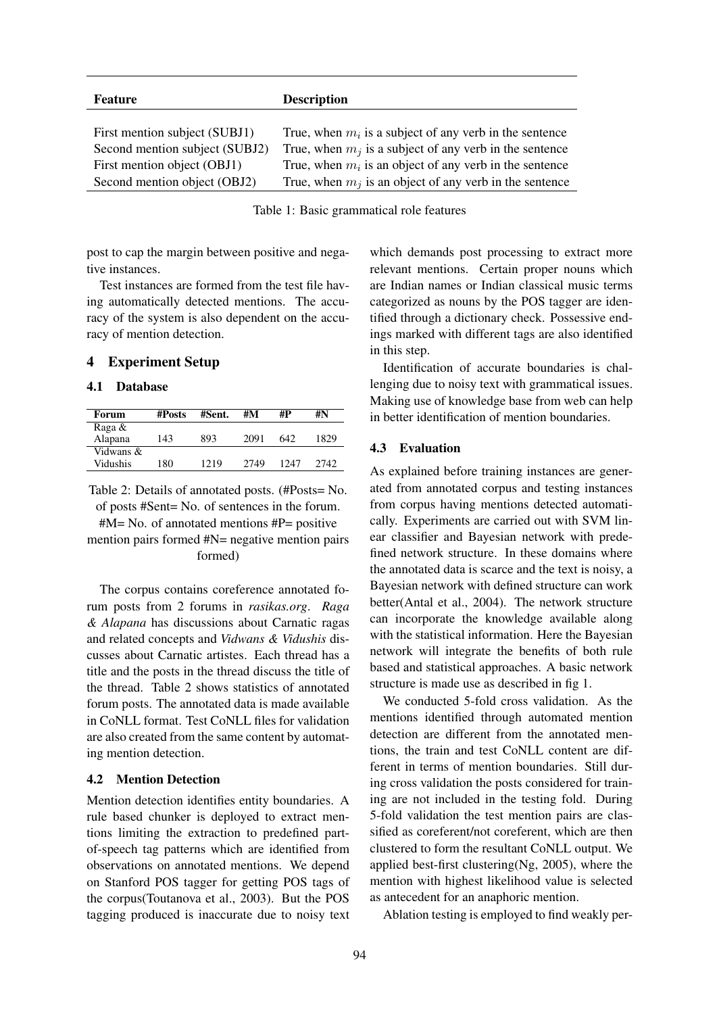| <b>Feature</b>                 | <b>Description</b>                                        |
|--------------------------------|-----------------------------------------------------------|
|                                |                                                           |
| First mention subject (SUBJ1)  | True, when $m_i$ is a subject of any verb in the sentence |
| Second mention subject (SUBJ2) | True, when $m_i$ is a subject of any verb in the sentence |
| First mention object (OBJ1)    | True, when $m_i$ is an object of any verb in the sentence |
| Second mention object (OBJ2)   | True, when $m_j$ is an object of any verb in the sentence |

Table 1: Basic grammatical role features

post to cap the margin between positive and negative instances.

Test instances are formed from the test file having automatically detected mentions. The accuracy of the system is also dependent on the accuracy of mention detection.

## 4 Experiment Setup

## 4.1 Database

| Forum     | #Posts | #M<br>#Sent. |      | #P   | #N   |  |
|-----------|--------|--------------|------|------|------|--|
| Raga &    |        |              |      |      |      |  |
| Alapana   | 143    | 893          | 2091 | 642  | 1829 |  |
| Vidwans & |        |              |      |      |      |  |
| Vidushis  | 180    | 1219         | 2749 | 1247 | 2742 |  |

Table 2: Details of annotated posts. (#Posts= No. of posts #Sent= No. of sentences in the forum.

 $#M= No.$  of annotated mentions  $#P= positive$ 

mention pairs formed #N= negative mention pairs formed)

The corpus contains coreference annotated forum posts from 2 forums in *rasikas.org*. *Raga & Alapana* has discussions about Carnatic ragas and related concepts and *Vidwans & Vidushis* discusses about Carnatic artistes. Each thread has a title and the posts in the thread discuss the title of the thread. Table 2 shows statistics of annotated forum posts. The annotated data is made available in CoNLL format. Test CoNLL files for validation are also created from the same content by automating mention detection.

#### 4.2 Mention Detection

Mention detection identifies entity boundaries. A rule based chunker is deployed to extract mentions limiting the extraction to predefined partof-speech tag patterns which are identified from observations on annotated mentions. We depend on Stanford POS tagger for getting POS tags of the corpus(Toutanova et al., 2003). But the POS tagging produced is inaccurate due to noisy text

which demands post processing to extract more relevant mentions. Certain proper nouns which are Indian names or Indian classical music terms categorized as nouns by the POS tagger are identified through a dictionary check. Possessive endings marked with different tags are also identified in this step.

Identification of accurate boundaries is challenging due to noisy text with grammatical issues. Making use of knowledge base from web can help in better identification of mention boundaries.

## 4.3 Evaluation

As explained before training instances are generated from annotated corpus and testing instances from corpus having mentions detected automatically. Experiments are carried out with SVM linear classifier and Bayesian network with predefined network structure. In these domains where the annotated data is scarce and the text is noisy, a Bayesian network with defined structure can work better(Antal et al., 2004). The network structure can incorporate the knowledge available along with the statistical information. Here the Bayesian network will integrate the benefits of both rule based and statistical approaches. A basic network structure is made use as described in fig 1.

We conducted 5-fold cross validation. As the mentions identified through automated mention detection are different from the annotated mentions, the train and test CoNLL content are different in terms of mention boundaries. Still during cross validation the posts considered for training are not included in the testing fold. During 5-fold validation the test mention pairs are classified as coreferent/not coreferent, which are then clustered to form the resultant CoNLL output. We applied best-first clustering(Ng, 2005), where the mention with highest likelihood value is selected as antecedent for an anaphoric mention.

Ablation testing is employed to find weakly per-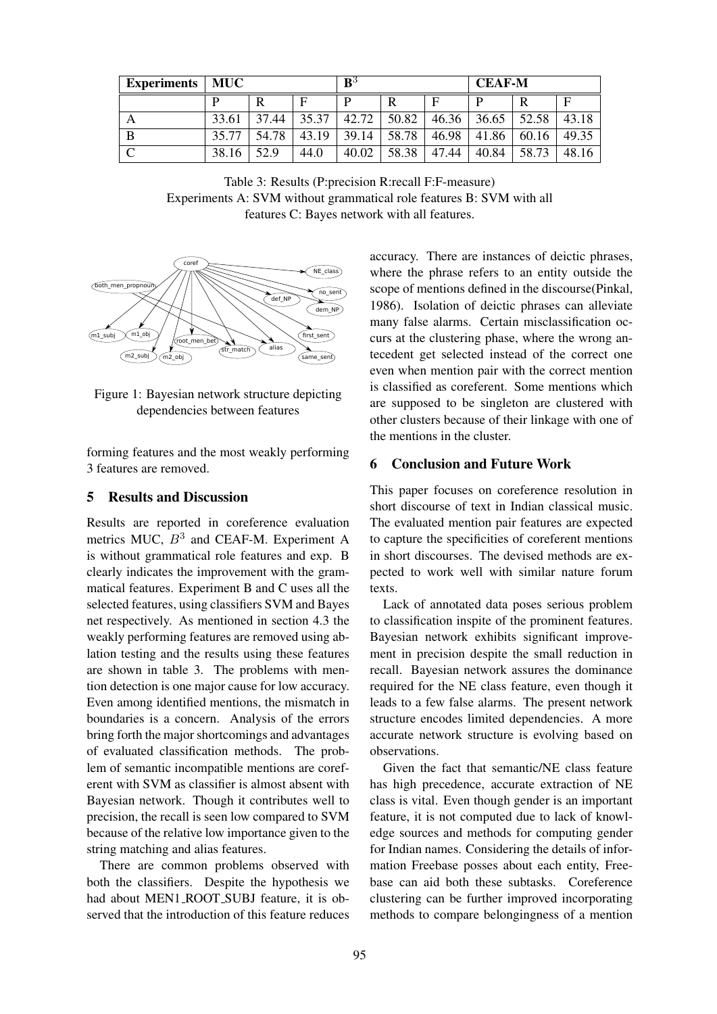| <b>Experiments</b> | MUC   |       |       | $\mathbf{B}^3$ |       |       | <b>CEAF-M</b> |       |       |
|--------------------|-------|-------|-------|----------------|-------|-------|---------------|-------|-------|
|                    |       | R     |       | D              | R     | E     | D             |       | F     |
| Α                  | 33.61 | 37.44 | 35.37 | 42.72          | 50.82 | 46.36 | 36.65         | 52.58 | 43.18 |
| В                  | 35.77 | 54.78 | 43.19 | 39.14          | 58.78 | 46.98 | 41.86         | 60.16 | 49.35 |
| $\sqrt{ }$         | 38.16 | 52.9  | 44.0  | 40.02          | 58.38 | 47.44 | 40.84         | 58.73 | 48.16 |

Table 3: Results (P:precision R:recall F:F-measure) Experiments A: SVM without grammatical role features B: SVM with all features C: Bayes network with all features.



Figure 1: Bayesian network structure depicting dependencies between features

forming features and the most weakly performing 3 features are removed.

## 5 Results and Discussion

Results are reported in coreference evaluation metrics MUC,  $B^3$  and CEAF-M. Experiment A is without grammatical role features and exp. B clearly indicates the improvement with the grammatical features. Experiment B and C uses all the selected features, using classifiers SVM and Bayes net respectively. As mentioned in section 4.3 the weakly performing features are removed using ablation testing and the results using these features are shown in table 3. The problems with mention detection is one major cause for low accuracy. Even among identified mentions, the mismatch in boundaries is a concern. Analysis of the errors bring forth the major shortcomings and advantages of evaluated classification methods. The problem of semantic incompatible mentions are coreferent with SVM as classifier is almost absent with Bayesian network. Though it contributes well to precision, the recall is seen low compared to SVM because of the relative low importance given to the string matching and alias features.

There are common problems observed with both the classifiers. Despite the hypothesis we had about MEN1\_ROOT\_SUBJ feature, it is observed that the introduction of this feature reduces accuracy. There are instances of deictic phrases, where the phrase refers to an entity outside the scope of mentions defined in the discourse(Pinkal, 1986). Isolation of deictic phrases can alleviate many false alarms. Certain misclassification occurs at the clustering phase, where the wrong antecedent get selected instead of the correct one even when mention pair with the correct mention is classified as coreferent. Some mentions which are supposed to be singleton are clustered with other clusters because of their linkage with one of the mentions in the cluster.

#### 6 Conclusion and Future Work

This paper focuses on coreference resolution in short discourse of text in Indian classical music. The evaluated mention pair features are expected to capture the specificities of coreferent mentions in short discourses. The devised methods are expected to work well with similar nature forum texts.

Lack of annotated data poses serious problem to classification inspite of the prominent features. Bayesian network exhibits significant improvement in precision despite the small reduction in recall. Bayesian network assures the dominance required for the NE class feature, even though it leads to a few false alarms. The present network structure encodes limited dependencies. A more accurate network structure is evolving based on observations.

Given the fact that semantic/NE class feature has high precedence, accurate extraction of NE class is vital. Even though gender is an important feature, it is not computed due to lack of knowledge sources and methods for computing gender for Indian names. Considering the details of information Freebase posses about each entity, Freebase can aid both these subtasks. Coreference clustering can be further improved incorporating methods to compare belongingness of a mention